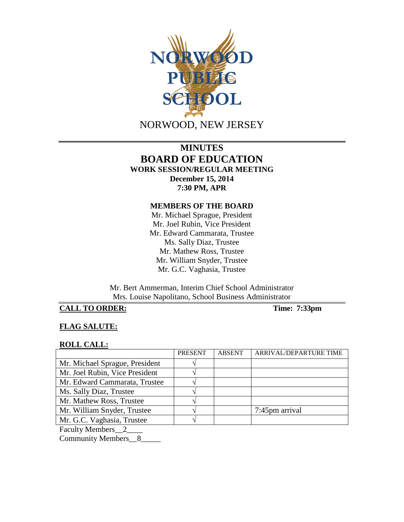

# **MINUTES BOARD OF EDUCATION WORK SESSION/REGULAR MEETING December 15, 2014 7:30 PM, APR**

#### **MEMBERS OF THE BOARD**

Mr. Michael Sprague, President Mr. Joel Rubin, Vice President Mr. Edward Cammarata, Trustee Ms. Sally Diaz, Trustee Mr. Mathew Ross, Trustee Mr. William Snyder, Trustee Mr. G.C. Vaghasia, Trustee

Mr. Bert Ammerman, Interim Chief School Administrator Mrs. Louise Napolitano, School Business Administrator

# **CALL TO ORDER: Time: 7:33pm**

### **FLAG SALUTE:**

#### **ROLL CALL:**

|                                                                                                                                                                                                                                                                                                                                                                                                                                                                                            | <b>PRESENT</b> | <b>ABSENT</b> | ARRIVAL/DEPARTURE TIME |
|--------------------------------------------------------------------------------------------------------------------------------------------------------------------------------------------------------------------------------------------------------------------------------------------------------------------------------------------------------------------------------------------------------------------------------------------------------------------------------------------|----------------|---------------|------------------------|
| Mr. Michael Sprague, President                                                                                                                                                                                                                                                                                                                                                                                                                                                             |                |               |                        |
| Mr. Joel Rubin, Vice President                                                                                                                                                                                                                                                                                                                                                                                                                                                             |                |               |                        |
| Mr. Edward Cammarata, Trustee                                                                                                                                                                                                                                                                                                                                                                                                                                                              |                |               |                        |
| Ms. Sally Diaz, Trustee                                                                                                                                                                                                                                                                                                                                                                                                                                                                    |                |               |                        |
| Mr. Mathew Ross, Trustee                                                                                                                                                                                                                                                                                                                                                                                                                                                                   |                |               |                        |
| Mr. William Snyder, Trustee                                                                                                                                                                                                                                                                                                                                                                                                                                                                |                |               | 7:45pm arrival         |
| Mr. G.C. Vaghasia, Trustee                                                                                                                                                                                                                                                                                                                                                                                                                                                                 |                |               |                        |
| $\blacksquare$ $\blacksquare$ $\blacksquare$ $\blacksquare$ $\blacksquare$ $\blacksquare$ $\blacksquare$ $\blacksquare$ $\blacksquare$ $\blacksquare$ $\blacksquare$ $\blacksquare$ $\blacksquare$ $\blacksquare$ $\blacksquare$ $\blacksquare$ $\blacksquare$ $\blacksquare$ $\blacksquare$ $\blacksquare$ $\blacksquare$ $\blacksquare$ $\blacksquare$ $\blacksquare$ $\blacksquare$ $\blacksquare$ $\blacksquare$ $\blacksquare$ $\blacksquare$ $\blacksquare$ $\blacksquare$ $\blacks$ |                |               |                        |

Faculty Members\_\_2\_\_\_\_

Community Members\_\_8\_\_\_\_\_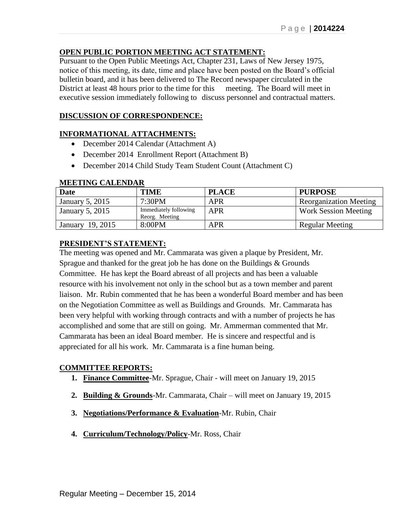### **OPEN PUBLIC PORTION MEETING ACT STATEMENT:**

Pursuant to the Open Public Meetings Act, Chapter 231, Laws of New Jersey 1975, notice of this meeting, its date, time and place have been posted on the Board's official bulletin board, and it has been delivered to The Record newspaper circulated in the District at least 48 hours prior to the time for this meeting. The Board will meet in executive session immediately following to discuss personnel and contractual matters.

### **DISCUSSION OF CORRESPONDENCE:**

#### **INFORMATIONAL ATTACHMENTS:**

- December 2014 Calendar (Attachment A)
- December 2014 Enrollment Report (Attachment B)
- December 2014 Child Study Team Student Count (Attachment C)

| ************************** |                                         |              |                               |  |  |
|----------------------------|-----------------------------------------|--------------|-------------------------------|--|--|
| Date                       | <b>TIME</b>                             | <b>PLACE</b> | <b>PURPOSE</b>                |  |  |
| January 5, 2015            | 7:30PM                                  | <b>APR</b>   | <b>Reorganization Meeting</b> |  |  |
| January 5, 2015            | Immediately following<br>Reorg. Meeting | <b>APR</b>   | <b>Work Session Meeting</b>   |  |  |
| January 19, 2015           | 8:00PM                                  | <b>APR</b>   | <b>Regular Meeting</b>        |  |  |

### **MEETING CALENDAR**

### **PRESIDENT'S STATEMENT:**

The meeting was opened and Mr. Cammarata was given a plaque by President, Mr. Sprague and thanked for the great job he has done on the Buildings & Grounds Committee. He has kept the Board abreast of all projects and has been a valuable resource with his involvement not only in the school but as a town member and parent liaison. Mr. Rubin commented that he has been a wonderful Board member and has been on the Negotiation Committee as well as Buildings and Grounds. Mr. Cammarata has been very helpful with working through contracts and with a number of projects he has accomplished and some that are still on going. Mr. Ammerman commented that Mr. Cammarata has been an ideal Board member. He is sincere and respectful and is appreciated for all his work. Mr. Cammarata is a fine human being.

#### **COMMITTEE REPORTS:**

- **1. Finance Committee**-Mr. Sprague, Chair will meet on January 19, 2015
- **2. Building & Grounds**-Mr. Cammarata, Chair will meet on January 19, 2015
- **3. Negotiations/Performance & Evaluation**-Mr. Rubin, Chair
- **4. Curriculum/Technology/Policy**-Mr. Ross, Chair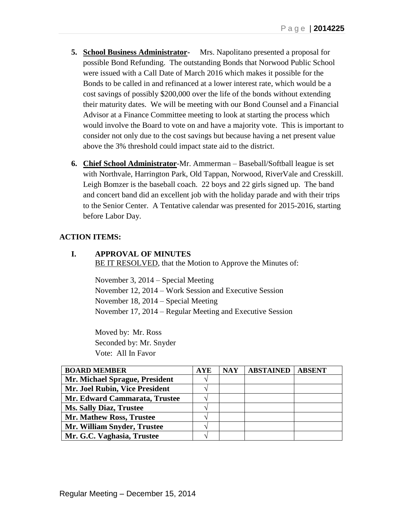- **5. School Business Administrator-** Mrs. Napolitano presented a proposal for possible Bond Refunding. The outstanding Bonds that Norwood Public School were issued with a Call Date of March 2016 which makes it possible for the Bonds to be called in and refinanced at a lower interest rate, which would be a cost savings of possibly \$200,000 over the life of the bonds without extending their maturity dates. We will be meeting with our Bond Counsel and a Financial Advisor at a Finance Committee meeting to look at starting the process which would involve the Board to vote on and have a majority vote. This is important to consider not only due to the cost savings but because having a net present value above the 3% threshold could impact state aid to the district.
- **6. Chief School Administrator**-Mr. Ammerman Baseball/Softball league is set with Northvale, Harrington Park, Old Tappan, Norwood, RiverVale and Cresskill. Leigh Bomzer is the baseball coach. 22 boys and 22 girls signed up. The band and concert band did an excellent job with the holiday parade and with their trips to the Senior Center. A Tentative calendar was presented for 2015-2016, starting before Labor Day.

### **ACTION ITEMS:**

**I. APPROVAL OF MINUTES** BE IT RESOLVED, that the Motion to Approve the Minutes of:

> November 3, 2014 – Special Meeting November 12, 2014 – Work Session and Executive Session November 18, 2014 – Special Meeting November 17, 2014 – Regular Meeting and Executive Session

Moved by: Mr. Ross Seconded by: Mr. Snyder Vote: All In Favor

| <b>BOARD MEMBER</b>            | <b>AYE</b> | <b>NAY</b> | <b>ABSTAINED</b> | <b>ABSENT</b> |
|--------------------------------|------------|------------|------------------|---------------|
| Mr. Michael Sprague, President |            |            |                  |               |
| Mr. Joel Rubin, Vice President |            |            |                  |               |
| Mr. Edward Cammarata, Trustee  |            |            |                  |               |
| <b>Ms. Sally Diaz, Trustee</b> |            |            |                  |               |
| Mr. Mathew Ross, Trustee       |            |            |                  |               |
| Mr. William Snyder, Trustee    |            |            |                  |               |
| Mr. G.C. Vaghasia, Trustee     |            |            |                  |               |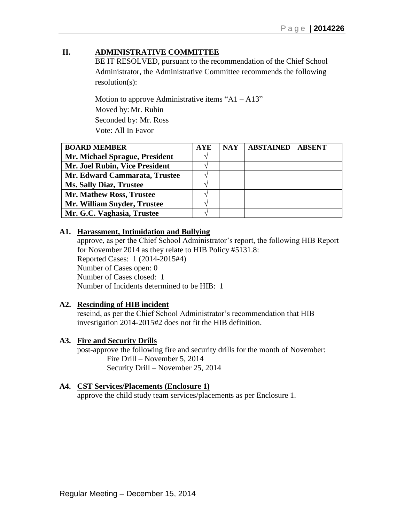## **II. ADMINISTRATIVE COMMITTEE**

BE IT RESOLVED, pursuant to the recommendation of the Chief School Administrator, the Administrative Committee recommends the following resolution(s):

Motion to approve Administrative items " $A1 - A13$ " Moved by: Mr. Rubin Seconded by: Mr. Ross Vote: All In Favor

| <b>BOARD MEMBER</b>             | <b>AYE</b>    | <b>NAY</b> | <b>ABSTAINED</b> | <b>ABSENT</b> |
|---------------------------------|---------------|------------|------------------|---------------|
| Mr. Michael Sprague, President  |               |            |                  |               |
| Mr. Joel Rubin, Vice President  | $\mathcal{N}$ |            |                  |               |
| Mr. Edward Cammarata, Trustee   |               |            |                  |               |
| <b>Ms. Sally Diaz, Trustee</b>  |               |            |                  |               |
| <b>Mr. Mathew Ross, Trustee</b> |               |            |                  |               |
| Mr. William Snyder, Trustee     |               |            |                  |               |
| Mr. G.C. Vaghasia, Trustee      |               |            |                  |               |

### **A1. Harassment, Intimidation and Bullying**

approve, as per the Chief School Administrator's report, the following HIB Report for November 2014 as they relate to HIB Policy #5131.8: Reported Cases: 1 (2014-2015#4) Number of Cases open: 0 Number of Cases closed: 1 Number of Incidents determined to be HIB: 1

### **A2. Rescinding of HIB incident**

rescind, as per the Chief School Administrator's recommendation that HIB investigation 2014-2015#2 does not fit the HIB definition.

#### **A3. Fire and Security Drills**

post-approve the following fire and security drills for the month of November: Fire Drill – November 5, 2014 Security Drill – November 25, 2014

#### **A4. CST Services/Placements (Enclosure 1)**

approve the child study team services/placements as per Enclosure 1.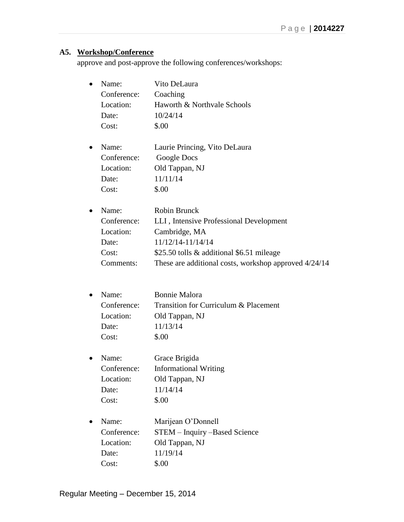# **A5. Workshop/Conference**

approve and post-approve the following conferences/workshops:

| Name:       | Vito DeLaura                                          |
|-------------|-------------------------------------------------------|
| Conference: | Coaching                                              |
| Location:   | Haworth & Northvale Schools                           |
| Date:       | 10/24/14                                              |
| Cost:       | \$.00                                                 |
| Name:       | Laurie Princing, Vito DeLaura                         |
| Conference: | Google Docs                                           |
| Location:   | Old Tappan, NJ                                        |
| Date:       | 11/11/14                                              |
| Cost:       | \$.00                                                 |
| Name:       | <b>Robin Brunck</b>                                   |
| Conference: | LLI, Intensive Professional Development               |
| Location:   | Cambridge, MA                                         |
| Date:       | 11/12/14-11/14/14                                     |
| Cost:       | \$25.50 tolls & additional \$6.51 mileage             |
| Comments:   | These are additional costs, workshop approved 4/24/14 |
|             |                                                       |
| Name:       | <b>Bonnie Malora</b>                                  |
| Conference: | Transition for Curriculum & Placement                 |
| Location:   | Old Tappan, NJ                                        |
| Date:       | 11/13/14                                              |
| Cost:       | \$.00                                                 |
| Name:       | Grace Brigida                                         |
| Conference: | <b>Informational Writing</b>                          |
| Location:   | Old Tappan, NJ                                        |
| Date:       | 11/14/14                                              |
| Cost:       | \$.00                                                 |
| Name:       | Marijean O'Donnell                                    |
| Conference: | STEM - Inquiry -Based Science                         |
| Location:   | Old Tappan, NJ                                        |
| Date:       | 11/19/14                                              |
| Cost:       | \$.00                                                 |
|             |                                                       |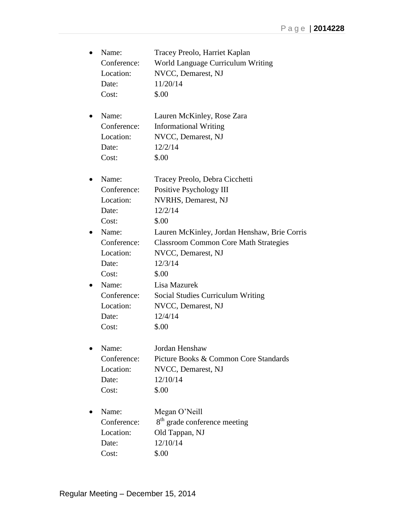|           | Name:       | Tracey Preolo, Harriet Kaplan                |
|-----------|-------------|----------------------------------------------|
|           | Conference: | World Language Curriculum Writing            |
|           | Location:   | NVCC, Demarest, NJ                           |
|           | Date:       | 11/20/14                                     |
|           | Cost:       | \$.00                                        |
|           | Name:       | Lauren McKinley, Rose Zara                   |
|           | Conference: | <b>Informational Writing</b>                 |
|           | Location:   | NVCC, Demarest, NJ                           |
|           | Date:       | 12/2/14                                      |
|           | Cost:       | \$.00                                        |
|           | Name:       | Tracey Preolo, Debra Cicchetti               |
|           | Conference: | Positive Psychology III                      |
|           | Location:   | NVRHS, Demarest, NJ                          |
|           | Date:       | 12/2/14                                      |
|           | Cost:       | \$.00                                        |
|           | Name:       | Lauren McKinley, Jordan Henshaw, Brie Corris |
|           | Conference: | <b>Classroom Common Core Math Strategies</b> |
|           | Location:   | NVCC, Demarest, NJ                           |
|           | Date:       | 12/3/14                                      |
|           | Cost:       | \$.00                                        |
| $\bullet$ | Name:       | Lisa Mazurek                                 |
|           | Conference: | <b>Social Studies Curriculum Writing</b>     |
|           | Location:   | NVCC, Demarest, NJ                           |
|           | Date:       | 12/4/14                                      |
|           | Cost:       | \$.00                                        |
|           | Name:       | Jordan Henshaw                               |
|           | Conference: | Picture Books & Common Core Standards        |
|           | Location:   | NVCC, Demarest, NJ                           |
|           | Date:       | 12/10/14                                     |
|           | Cost:       | \$.00                                        |
|           | Name:       | Megan O'Neill                                |
|           | Conference: | 8 <sup>th</sup> grade conference meeting     |
|           | Location:   | Old Tappan, NJ                               |
|           | Date:       | 12/10/14                                     |
|           | Cost:       | \$.00                                        |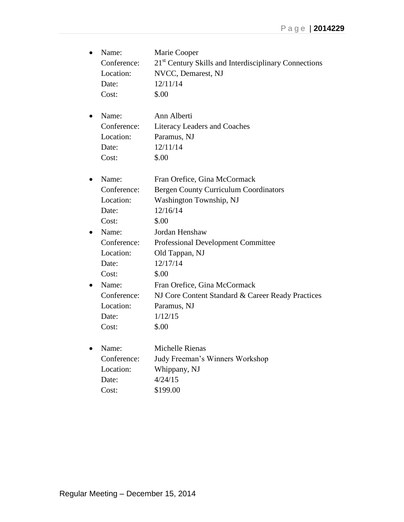| ٠ | Name:<br>Conference:<br>Location:<br>Date:<br>Cost:                                               | Marie Cooper<br>21 <sup>st</sup> Century Skills and Interdisciplinary Connections<br>NVCC, Demarest, NJ<br>12/11/14<br>\$.00                                                                                      |
|---|---------------------------------------------------------------------------------------------------|-------------------------------------------------------------------------------------------------------------------------------------------------------------------------------------------------------------------|
| ٠ | Name:<br>Conference:<br>Location:<br>Date:<br>Cost:                                               | Ann Alberti<br><b>Literacy Leaders and Coaches</b><br>Paramus, NJ<br>12/11/14<br>\$.00                                                                                                                            |
| ٠ | Name:<br>Conference:<br>Location:<br>Date:<br>Cost:                                               | Fran Orefice, Gina McCormack<br><b>Bergen County Curriculum Coordinators</b><br>Washington Township, NJ<br>12/16/14<br>\$.00                                                                                      |
|   | Name:<br>Conference:<br>Location:<br>Date:<br>Cost:<br>Name:<br>Conference:<br>Location:<br>Date: | Jordan Henshaw<br><b>Professional Development Committee</b><br>Old Tappan, NJ<br>12/17/14<br>\$.00<br>Fran Orefice, Gina McCormack<br>NJ Core Content Standard & Career Ready Practices<br>Paramus, NJ<br>1/12/15 |
|   | Cost:<br>Name:<br>Conference:<br>Location:<br>Date:<br>Cost:                                      | \$.00<br>Michelle Rienas<br>Judy Freeman's Winners Workshop<br>Whippany, NJ<br>4/24/15<br>\$199.00                                                                                                                |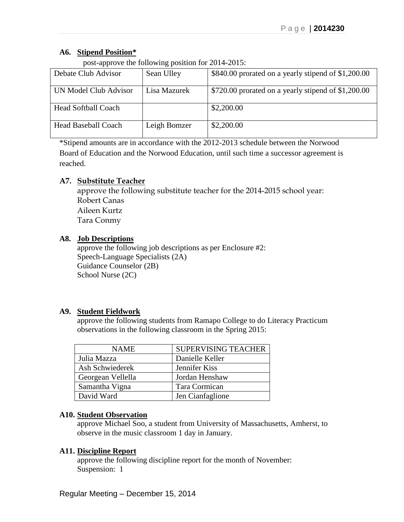### **A6. Stipend Position\***

post-approve the following position for 2014-2015:

| Debate Club Advisor        | Sean Ulley   | \$840.00 prorated on a yearly stipend of \$1,200.00 |
|----------------------------|--------------|-----------------------------------------------------|
| UN Model Club Advisor      | Lisa Mazurek | \$720.00 prorated on a yearly stipend of \$1,200.00 |
| <b>Head Softball Coach</b> |              | \$2,200.00                                          |
| <b>Head Baseball Coach</b> | Leigh Bomzer | \$2,200.00                                          |

\*Stipend amounts are in accordance with the 2012-2013 schedule between the Norwood Board of Education and the Norwood Education, until such time a successor agreement is reached.

### **A7. Substitute Teacher**

approve the following substitute teacher for the 2014-2015 school year: Robert Canas Aileen Kurtz Tara Conmy

### **A8. Job Descriptions**

approve the following job descriptions as per Enclosure #2: Speech-Language Specialists (2A) Guidance Counselor (2B) School Nurse (2C)

### **A9. Student Fieldwork**

approve the following students from Ramapo College to do Literacy Practicum observations in the following classroom in the Spring 2015:

| <b>NAME</b>       | <b>SUPERVISING TEACHER</b> |
|-------------------|----------------------------|
| Julia Mazza       | Danielle Keller            |
| Ash Schwiederek   | Jennifer Kiss              |
| Georgean Vellella | Jordan Henshaw             |
| Samantha Vigna    | Tara Cormican              |
| David Ward        | Jen Cianfaglione           |

### **A10. Student Observation**

approve Michael Soo, a student from University of Massachusetts, Amherst, to observe in the music classroom 1 day in January.

### **A11. Discipline Report**

approve the following discipline report for the month of November: Suspension: 1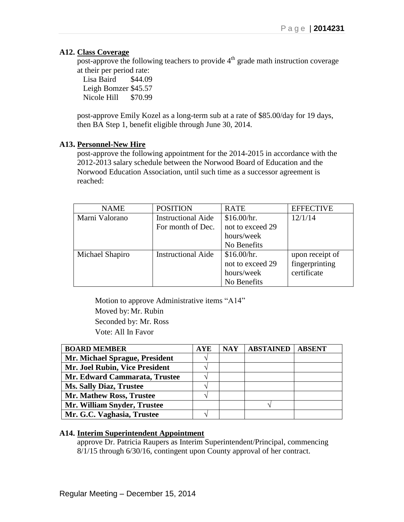#### **A12. Class Coverage**

post-approve the following teachers to provide  $4<sup>th</sup>$  grade math instruction coverage at their per period rate:

Lisa Baird \$44.09 Leigh Bomzer \$45.57 Nicole Hill \$70.99

post-approve Emily Kozel as a long-term sub at a rate of \$85.00/day for 19 days, then BA Step 1, benefit eligible through June 30, 2014.

#### **A13. Personnel-New Hire**

post-approve the following appointment for the 2014-2015 in accordance with the 2012-2013 salary schedule between the Norwood Board of Education and the Norwood Education Association, until such time as a successor agreement is reached:

| <b>NAME</b>     | <b>POSITION</b>           | <b>RATE</b>      | <b>EFFECTIVE</b> |
|-----------------|---------------------------|------------------|------------------|
| Marni Valorano  | <b>Instructional Aide</b> | \$16.00/hr.      | 12/1/14          |
|                 | For month of Dec.         | not to exceed 29 |                  |
|                 |                           | hours/week       |                  |
|                 |                           | No Benefits      |                  |
| Michael Shapiro | <b>Instructional Aide</b> | \$16.00/hr.      | upon receipt of  |
|                 |                           | not to exceed 29 | fingerprinting   |
|                 |                           | hours/week       | certificate      |
|                 |                           | No Benefits      |                  |

Motion to approve Administrative items "A14" Moved by: Mr. Rubin Seconded by: Mr. Ross Vote: All In Favor

| <b>BOARD MEMBER</b>            | <b>AYE</b> | <b>NAY</b> | <b>ABSTAINED</b> | <b>ABSENT</b> |
|--------------------------------|------------|------------|------------------|---------------|
| Mr. Michael Sprague, President |            |            |                  |               |
| Mr. Joel Rubin, Vice President |            |            |                  |               |
| Mr. Edward Cammarata, Trustee  |            |            |                  |               |
| <b>Ms. Sally Diaz, Trustee</b> |            |            |                  |               |
| Mr. Mathew Ross, Trustee       |            |            |                  |               |
| Mr. William Snyder, Trustee    |            |            |                  |               |
| Mr. G.C. Vaghasia, Trustee     |            |            |                  |               |

#### **A14. Interim Superintendent Appointment**

approve Dr. Patricia Raupers as Interim Superintendent/Principal, commencing 8/1/15 through 6/30/16, contingent upon County approval of her contract.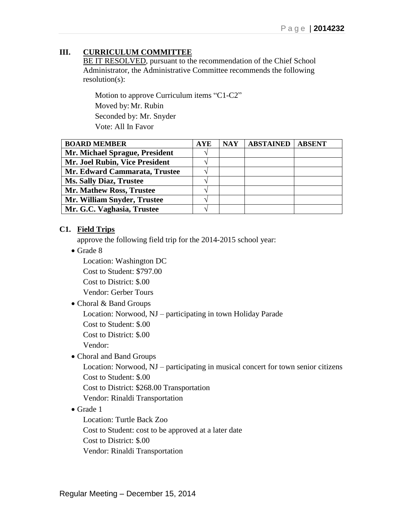# **III. CURRICULUM COMMITTEE**

BE IT RESOLVED, pursuant to the recommendation of the Chief School Administrator, the Administrative Committee recommends the following resolution(s):

Motion to approve Curriculum items "C1-C2" Moved by: Mr. Rubin Seconded by: Mr. Snyder Vote: All In Favor

| <b>BOARD MEMBER</b>             | <b>AYE</b> | <b>NAY</b> | <b>ABSTAINED</b> | <b>ABSENT</b> |
|---------------------------------|------------|------------|------------------|---------------|
| Mr. Michael Sprague, President  |            |            |                  |               |
| Mr. Joel Rubin, Vice President  |            |            |                  |               |
| Mr. Edward Cammarata, Trustee   |            |            |                  |               |
| <b>Ms. Sally Diaz, Trustee</b>  |            |            |                  |               |
| <b>Mr. Mathew Ross, Trustee</b> |            |            |                  |               |
| Mr. William Snyder, Trustee     |            |            |                  |               |
| Mr. G.C. Vaghasia, Trustee      |            |            |                  |               |

### **C1. Field Trips**

approve the following field trip for the 2014-2015 school year:

Grade 8

Location: Washington DC

Cost to Student: \$797.00

Cost to District: \$.00

Vendor: Gerber Tours

Choral & Band Groups

Location: Norwood, NJ – participating in town Holiday Parade

Cost to Student: \$.00

Cost to District: \$.00

Vendor:

Choral and Band Groups

Location: Norwood, NJ – participating in musical concert for town senior citizens Cost to Student: \$.00

Cost to District: \$268.00 Transportation

Vendor: Rinaldi Transportation

### • Grade 1

Location: Turtle Back Zoo Cost to Student: cost to be approved at a later date Cost to District: \$.00 Vendor: Rinaldi Transportation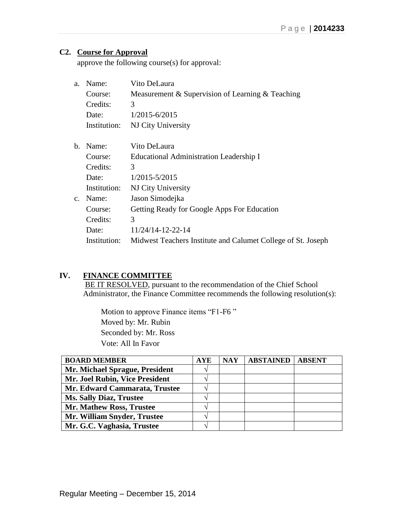## **C2. Course for Approval**

approve the following course(s) for approval:

| Course:<br>Credits: | Measurement & Supervision of Learning & Teaching             |
|---------------------|--------------------------------------------------------------|
|                     |                                                              |
|                     | 3                                                            |
| Date:               | $1/2015 - 6/2015$                                            |
| Institution:        | NJ City University                                           |
| Name:               | Vito DeLaura                                                 |
| Course:             | Educational Administration Leadership I                      |
| Credits:            | 3                                                            |
| Date:               | $1/2015 - 5/2015$                                            |
| Institution:        | NJ City University                                           |
| Name:               | Jason Simodejka                                              |
| Course:             | Getting Ready for Google Apps For Education                  |
| Credits:            | 3                                                            |
| Date:               | 11/24/14-12-22-14                                            |
| Institution:        | Midwest Teachers Institute and Calumet College of St. Joseph |
|                     |                                                              |

#### **IV. FINANCE COMMITTEE**

BE IT RESOLVED, pursuant to the recommendation of the Chief School Administrator, the Finance Committee recommends the following resolution(s):

 Motion to approve Finance items "F1-F6 " Moved by: Mr. Rubin Seconded by: Mr. Ross Vote: All In Favor

| <b>BOARD MEMBER</b>            | <b>AYE</b> | <b>NAY</b> | <b>ABSTAINED</b> | <b>ABSENT</b> |
|--------------------------------|------------|------------|------------------|---------------|
| Mr. Michael Sprague, President |            |            |                  |               |
| Mr. Joel Rubin, Vice President |            |            |                  |               |
| Mr. Edward Cammarata, Trustee  |            |            |                  |               |
| <b>Ms. Sally Diaz, Trustee</b> |            |            |                  |               |
| Mr. Mathew Ross, Trustee       |            |            |                  |               |
| Mr. William Snyder, Trustee    | ٦.         |            |                  |               |
| Mr. G.C. Vaghasia, Trustee     |            |            |                  |               |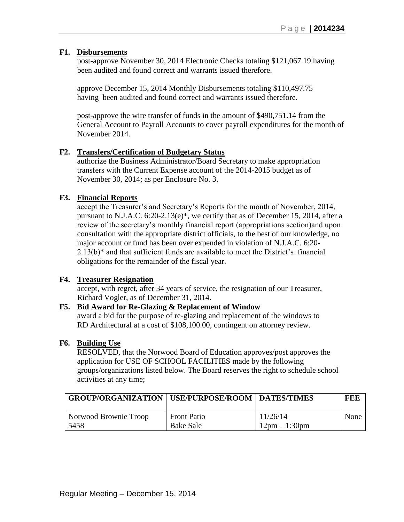### **F1. Disbursements**

post-approve November 30, 2014 Electronic Checks totaling \$121,067.19 having been audited and found correct and warrants issued therefore.

approve December 15, 2014 Monthly Disbursements totaling \$110,497.75 having been audited and found correct and warrants issued therefore.

 post-approve the wire transfer of funds in the amount of \$490,751.14 from the General Account to Payroll Accounts to cover payroll expenditures for the month of November 2014.

### **F2. Transfers/Certification of Budgetary Status**

authorize the Business Administrator/Board Secretary to make appropriation transfers with the Current Expense account of the 2014-2015 budget as of November 30, 2014; as per Enclosure No. 3.

### **F3. Financial Reports**

accept the Treasurer's and Secretary's Reports for the month of November, 2014, pursuant to N.J.A.C. 6:20-2.13(e)\*, we certify that as of December 15, 2014, after a review of the secretary's monthly financial report (appropriations section)and upon consultation with the appropriate district officials, to the best of our knowledge, no major account or fund has been over expended in violation of N.J.A.C. 6:20- 2.13(b)\* and that sufficient funds are available to meet the District's financial obligations for the remainder of the fiscal year.

### **F4. Treasurer Resignation**

accept, with regret, after 34 years of service, the resignation of our Treasurer, Richard Vogler, as of December 31, 2014.

### **F5. Bid Award for Re-Glazing & Replacement of Window**

award a bid for the purpose of re-glazing and replacement of the windows to RD Architectural at a cost of \$108,100.00, contingent on attorney review.

#### **F6. Building Use**

RESOLVED, that the Norwood Board of Education approves/post approves the application for USE OF SCHOOL FACILITIES made by the following groups/organizations listed below. The Board reserves the right to schedule school activities at any time;

| <b>GROUP/ORGANIZATION   USE/PURPOSE/ROOM   DATES/TIMES</b> |                    |                                 | FEE  |
|------------------------------------------------------------|--------------------|---------------------------------|------|
| Norwood Brownie Troop                                      | <b>Front Patio</b> | 11/26/14                        | None |
| 5458                                                       | <b>Bake Sale</b>   | $12 \text{pm} - 1:30 \text{pm}$ |      |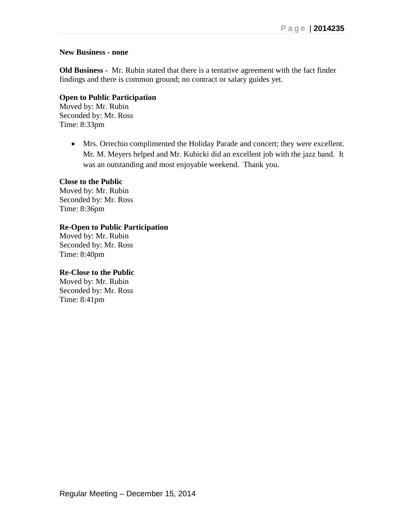#### **New Business - none**

**Old Business -** Mr. Rubin stated that there is a tentative agreement with the fact finder findings and there is common ground; no contract or salary guides yet.

### **Open to Public Participation**

Moved by: Mr. Rubin Seconded by: Mr. Ross Time: 8:33pm

> Mrs. Orrechio complimented the Holiday Parade and concert; they were excellent. Mr. M. Meyers helped and Mr. Kubicki did an excellent job with the jazz band. It was an outstanding and most enjoyable weekend. Thank you.

#### **Close to the Public**

Moved by: Mr. Rubin Seconded by: Mr. Ross Time: 8:36pm

### **Re-Open to Public Participation**

Moved by: Mr. Rubin Seconded by: Mr. Ross Time: 8:40pm

### **Re-Close to the Public**

Moved by: Mr. Rubin Seconded by: Mr. Ross Time: 8:41pm